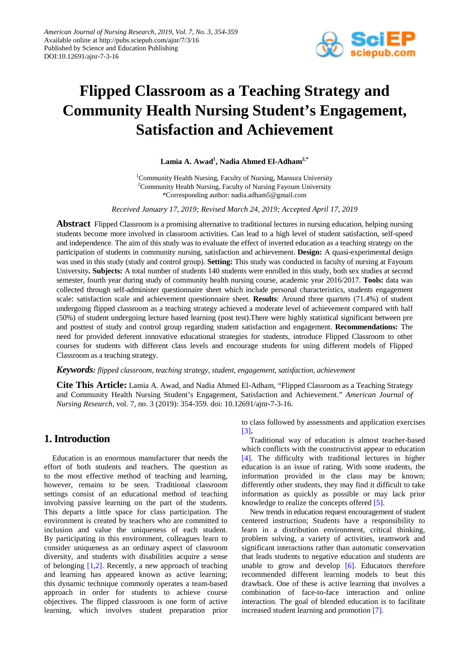

# **Flipped Classroom as a Teaching Strategy and Community Health Nursing Student's Engagement, Satisfaction and Achievement**

**Lamia A. Awad1 , Nadia Ahmed El-Adham2,\***

<sup>1</sup>Community Health Nursing, Faculty of Nursing, Mansura University <sup>2</sup>Community Health Nursing, Faculty of Nursing Fayoum University \*Corresponding author: nadia.adham5@gmail.com

*Received January 17, 2019; Revised March 24, 2019; Accepted April 17, 2019*

**Abstract** Flipped Classroom is a promising alternative to traditional lectures in nursing education, helping nursing students become more involved in classroom activities. Can lead to a high level of student satisfaction, self-speed and independence. The aim of this study was to evaluate the effect of inverted education as a teaching strategy on the participation of students in community nursing, satisfaction and achievement. **Design:** A quasi-experimental design was used in this study (study and control group). **Setting:** This study was conducted in faculty of nursing at Fayoum University**. Subjects:** A total number of students 140 students were enrolled in this study, both sex studies at second semester, fourth year during study of community health nursing course, academic year 2016/2017. **Tools:** data was collected through self-administer questionnaire sheet which include personal characteristics, students engagement scale: satisfaction scale and achievement questionnaire sheet. **Results**: Around three quartets (71.4%) of student undergoing flipped classroom as a teaching strategy achieved a moderate level of achievement compared with half (50%) of student undergoing lecture based learning (post test).There were highly statistical significant between pre and posttest of study and control group regarding student satisfaction and engagement. **Recommendations:** The need for provided deferent innovative educational strategies for students, introduce Flipped Classroom to other courses for students with different class levels and encourage students for using different models of Flipped Classroom as a teaching strategy.

*Keywords: flipped classroom, teaching strategy, student, engagement, satisfaction, achievement*

**Cite This Article:** Lamia A. Awad, and Nadia Ahmed El-Adham, "Flipped Classroom as a Teaching Strategy and Community Health Nursing Student's Engagement, Satisfaction and Achievement." *American Journal of Nursing Research*, vol. 7, no. 3 (2019): 354-359. doi: 10.12691/ajnr-7-3-16.

# **1. Introduction**

Education is an enormous manufacturer that needs the effort of both students and teachers. The question as to the most effective method of teaching and learning, however, remains to be seen. Traditional classroom settings consist of an educational method of teaching involving passive learning on the part of the students. This departs a little space for class participation. The environment is created by teachers who are committed to inclusion and value the uniqueness of each student. By participating in this environment, colleagues learn to consider uniqueness as an ordinary aspect of classroom diversity, and students with disabilities acquire a sense of belonging  $[1,2]$ . Recently, a new approach of teaching and learning has appeared known as active learning; this dynamic technique commonly operates a team-based approach in order for students to achieve course objectives. The flipped classroom is one form of active learning, which involves student preparation prior to class followed by assessments and application exercises [\[3\]](#page-5-1)**.**

Traditional way of education is almost teacher-based which conflicts with the constructivist appear to education [\[4\].](#page-5-2) The difficulty with traditional lectures in higher education is an issue of rating. With some students, the information provided in the class may be known; differently other students, they may find it difficult to take information as quickly as possible or may lack prior knowledge to realize the concepts offered [\[5\].](#page-5-3)

New trends in education request encouragement of student centered instruction; Students have a responsibility to learn in a distribution environment, critical thinking, problem solving, a variety of activities, teamwork and significant interactions rather than automatic conservation that leads students to negative education and students are unable to grow and develop [\[6\].](#page-5-4) Educators therefore recommended different learning models to beat this drawback. One of these is active learning that involves a combination of face-to-face interaction and online interaction. The goal of blended education is to facilitate increased student learning and promotion [\[7\].](#page-5-5)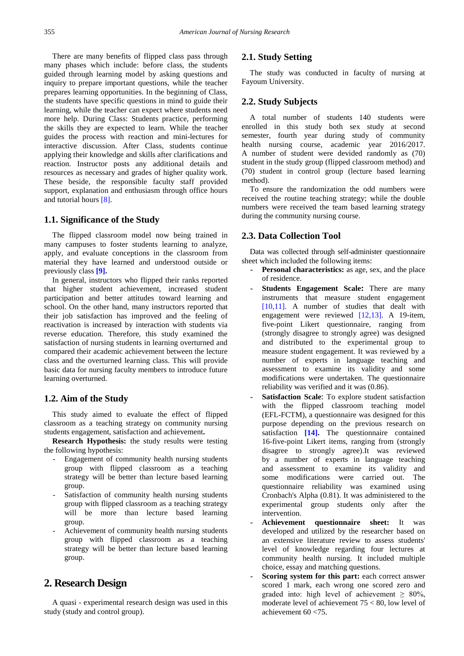There are many benefits of flipped class pass through many phases which include: before class, the students guided through learning model by asking questions and inquiry to prepare important questions, while the teacher prepares learning opportunities. In the beginning of Class, the students have specific questions in mind to guide their learning, while the teacher can expect where students need more help. During Class: Students practice, performing the skills they are expected to learn. While the teacher guides the process with reaction and mini-lectures for interactive discussion. After Class, students continue applying their knowledge and skills after clarifications and reaction. Instructor posts any additional details and resources as necessary and grades of higher quality work. These beside, the responsible faculty staff provided support, explanation and enthusiasm through office hours and tutorial hour[s \[8\].](#page-5-6)

#### **1.1. Significance of the Study**

The flipped classroom model now being trained in many campuses to foster students learning to analyze, apply, and evaluate conceptions in the classroom from material they have learned and understood outside or previously class **[\[9\].](#page-5-7)**

In general, instructors who flipped their ranks reported that higher student achievement, increased student participation and better attitudes toward learning and school. On the other hand, many instructors reported that their job satisfaction has improved and the feeling of reactivation is increased by interaction with students via reverse education. Therefore, this study examined the satisfaction of nursing students in learning overturned and compared their academic achievement between the lecture class and the overturned learning class. This will provide basic data for nursing faculty members to introduce future learning overturned.

#### **1.2. Aim of the Study**

This study aimed to evaluate the effect of flipped classroom as a teaching strategy on community nursing students engagement, satisfaction and achievement**.**

**Research Hypothesis:** the study results were testing the following hypothesis:

- Engagement of community health nursing students group with flipped classroom as a teaching strategy will be better than lecture based learning group.
- Satisfaction of community health nursing students group with flipped classroom as a teaching strategy will be more than lecture based learning group.
- Achievement of community health nursing students group with flipped classroom as a teaching strategy will be better than lecture based learning group.

# **2. Research Design**

A quasi - experimental research design was used in this study (study and control group).

#### **2.1. Study Setting**

The study was conducted in faculty of nursing at Fayoum University.

#### **2.2. Study Subjects**

A total number of students 140 students were enrolled in this study both sex study at second semester, fourth year during study of community health nursing course, academic year 2016/2017. A number of student were devided randomly as (70) student in the study group (flipped classroom method) and (70) student in control group (lecture based learning method).

To ensure the randomization the odd numbers were received the routine teaching strategy; while the double numbers were received the team based learning strategy during the community nursing course.

#### **2.3. Data Collection Tool**

Data was collected through self-administer questionnaire sheet which included the following items:

- **- Personal characteristics:** as age, sex, and the place of residence.
- **Students Engagement Scale:** There are many instruments that measure student engagement [\[10,11\].](#page-5-8) A number of studies that dealt with engagement were reviewed [\[12,13\].](#page-5-9) A 19-item, five-point Likert questionnaire, ranging from (strongly disagree to strongly agree) was designed and distributed to the experimental group to measure student engagement. It was reviewed by a number of experts in language teaching and assessment to examine its validity and some modifications were undertaken. The questionnaire reliability was verified and it was (0.86).
- **- Satisfaction Scale**: To explore student satisfaction with the flipped classroom teaching model (EFL-FCTM), a questionnaire was designed for this purpose depending on the previous research on satisfaction **[\[14\].](#page-5-10)** The questionnaire contained 16-five-point Likert items, ranging from (strongly disagree to strongly agree).It was reviewed by a number of experts in language teaching and assessment to examine its validity and some modifications were carried out. The questionnaire reliability was examined using Cronbach's Alpha (0.81). It was administered to the experimental group students only after the intervention.
- **- Achievement questionnaire sheet:** It was developed and utilized by the researcher based on an extensive literature review to assess students' level of knowledge regarding four lectures at community health nursing. It included multiple choice, essay and matching questions.
- **- Scoring system for this part:** each correct answer scored 1 mark, each wrong one scored zero and graded into: high level of achievement  $\geq 80\%$ , moderate level of achievement 75 < 80, low level of achievement 60 <75.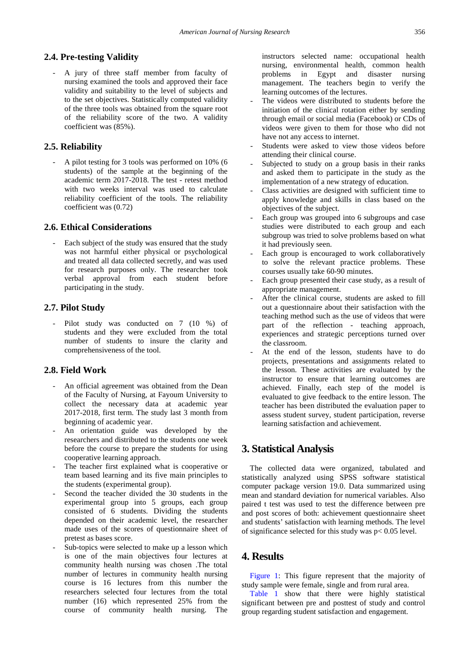### **2.4. Pre-testing Validity**

- A jury of three staff member from faculty of nursing examined the tools and approved their face validity and suitability to the level of subjects and to the set objectives. Statistically computed validity of the three tools was obtained from the square root of the reliability score of the two. A validity coefficient was (85%).

#### **2.5. Reliability**

- A pilot testing for 3 tools was performed on 10% (6 students) of the sample at the beginning of the academic term 2017-2018. The test - retest method with two weeks interval was used to calculate reliability coefficient of the tools. The reliability coefficient was (0.72)

#### **2.6. Ethical Considerations**

Each subject of the study was ensured that the study was not harmful either physical or psychological and treated all data collected secretly, and was used for research purposes only. The researcher took verbal approval from each student before participating in the study.

#### **2.7. Pilot Study**

Pilot study was conducted on 7 (10 %) of students and they were excluded from the total number of students to insure the clarity and comprehensiveness of the tool.

#### **2.8. Field Work**

- An official agreement was obtained from the Dean of the Faculty of Nursing, at Fayoum University to collect the necessary data at academic year 2017-2018, first term. The study last 3 month from beginning of academic year.
- An orientation guide was developed by the researchers and distributed to the students one week before the course to prepare the students for using cooperative learning approach.
- The teacher first explained what is cooperative or team based learning and its five main principles to the students (experimental group).
- Second the teacher divided the 30 students in the experimental group into 5 groups, each group consisted of 6 students. Dividing the students depended on their academic level, the researcher made uses of the scores of questionnaire sheet of pretest as bases score.
- Sub-topics were selected to make up a lesson which is one of the main objectives four lectures at community health nursing was chosen .The total number of lectures in community health nursing course is 16 lectures from this number the researchers selected four lectures from the total number (16) which represented 25% from the course of community health nursing. The

instructors selected name: occupational health nursing, environmental health, common health problems in Egypt and disaster nursing management. The teachers begin to verify the learning outcomes of the lectures.

- The videos were distributed to students before the initiation of the clinical rotation either by sending through email or social media (Facebook) or CDs of videos were given to them for those who did not have not any access to internet.
- Students were asked to view those videos before attending their clinical course.
- Subjected to study on a group basis in their ranks and asked them to participate in the study as the implementation of a new strategy of education.
- Class activities are designed with sufficient time to apply knowledge and skills in class based on the objectives of the subject.
- Each group was grouped into 6 subgroups and case studies were distributed to each group and each subgroup was tried to solve problems based on what it had previously seen.
- Each group is encouraged to work collaboratively to solve the relevant practice problems. These courses usually take 60-90 minutes.
- Each group presented their case study, as a result of appropriate management.
- After the clinical course, students are asked to fill out a questionnaire about their satisfaction with the teaching method such as the use of videos that were part of the reflection - teaching approach, experiences and strategic perceptions turned over the classroom.
- At the end of the lesson, students have to do projects, presentations and assignments related to the lesson. These activities are evaluated by the instructor to ensure that learning outcomes are achieved. Finally, each step of the model is evaluated to give feedback to the entire lesson. The teacher has been distributed the evaluation paper to assess student survey, student participation, reverse learning satisfaction and achievement.

## **3. Statistical Analysis**

The collected data were organized, tabulated and statistically analyzed using SPSS software statistical computer package version 19.0. Data summarized using mean and standard deviation for numerical variables. Also paired t test was used to test the difference between pre and post scores of both: achievement questionnaire sheet and students' satisfaction with learning methods. The level of significance selected for this study was p< 0.05 level.

## **4. Results**

[Figure 1:](#page-3-0) This figure represent that the majority of study sample were female, single and from rural area.

[Table 1](#page-3-1) show that there were highly statistical significant between pre and posttest of study and control group regarding student satisfaction and engagement.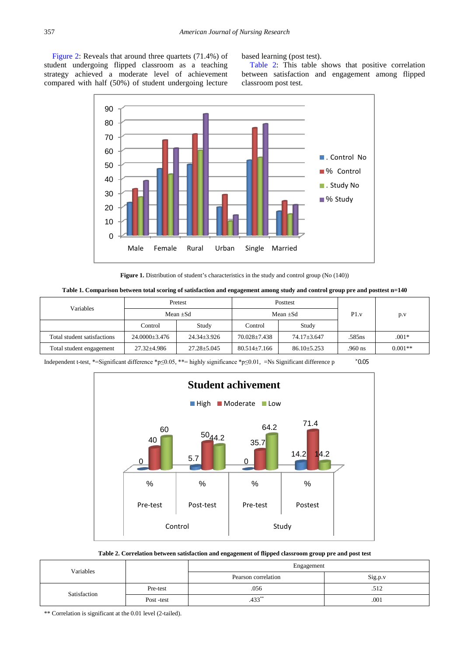<span id="page-3-0"></span>[Figure 2:](#page-3-2) Reveals that around three quartets (71.4%) of student undergoing flipped classroom as a teaching strategy achieved a moderate level of achievement compared with half (50%) of student undergoing lecture

based learning (post test).

[Table 2:](#page-3-3) This table shows that positive correlation between satisfaction and engagement among flipped classroom post test.



Figure 1. Distribution of student's characteristics in the study and control group (No (140))

<span id="page-3-1"></span>

| Variables                   | Pretest           |                   | <b>Posttest</b>    |                   | P1.v      | p.v       |
|-----------------------------|-------------------|-------------------|--------------------|-------------------|-----------|-----------|
|                             | Mean $\pm$ Sd     |                   | Mean $\pm$ Sd      |                   |           |           |
|                             | Control           | Study             | Control            | Study             |           |           |
| Total student satisfactions | 24.0000+3.476     | $24.34 \pm 3.926$ | $70.028 \pm 7.438$ | 74.17±3.647       | .585ns    | $.001*$   |
| Total student engagement    | $27.32 \pm 4.986$ | $27.28 \pm 5.045$ | $80.514 \pm 7.166$ | $86.10 \pm 5.253$ | $.960$ ns | $0.001**$ |

<span id="page-3-2"></span>Independent t-test, \*=Significant difference \*p≤0.05, \*\*= highly significance \*p≤0.01, =Ns Significant difference p ˃0.05



#### **Table 2. Correlation between satisfaction and engagement of flipped classroom group pre and post test**

<span id="page-3-3"></span>

| Variables    |            | Engagement          |         |  |
|--------------|------------|---------------------|---------|--|
|              |            | Pearson correlation | Sig.p.v |  |
| Satisfaction | Pre-test   | .056                | .512    |  |
|              | Post -test | $.433^{**}$         | .001    |  |

\*\* Correlation is significant at the 0.01 level (2-tailed).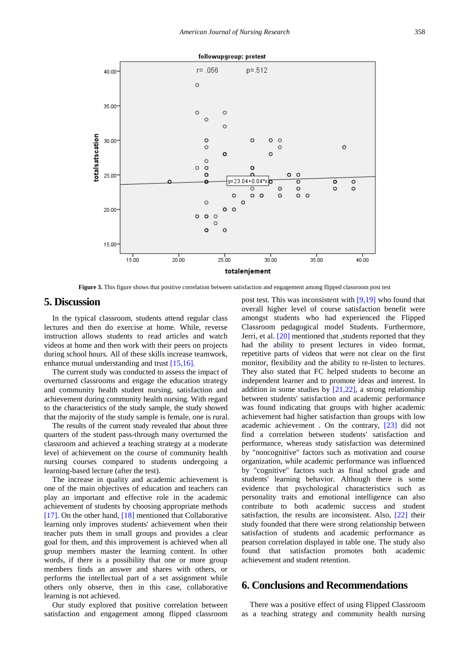

**Figure 3.** This figure shows that positive correlation between satisfaction and engagement among flipped classroom post test

# **5. Discussion**

In the typical classroom, students attend regular class lectures and then do exercise at home. While, reverse instruction allows students to read articles and watch videos at home and then work with their peers on projects during school hours. All of these skills increase teamwork, enhance mutual understanding and trust [\[15,16\].](#page-5-11)

The current study was conducted to assess the impact of overturned classrooms and engage the education strategy and community health student nursing, satisfaction and achievement during community health nursing. With regard to the characteristics of the study sample, the study showed that the majority of the study sample is female, one is rural.

The results of the current study revealed that about three quarters of the student pass-through many overturned the classroom and achieved a teaching strategy at a moderate level of achievement on the course of community health nursing courses compared to students undergoing a learning-based lecture (after the test).

The increase in quality and academic achievement is one of the main objectives of education and teachers can play an important and effective role in the academic achievement of students by choosing appropriate methods [\[17\].](#page-5-12) On the other hand, [\[18\]](#page-5-13) mentioned that Collaborative learning only improves students' achievement when their teacher puts them in small groups and provides a clear goal for them, and this improvement is achieved when all group members master the learning content. In other words, if there is a possibility that one or more group members finds an answer and shares with others, or performs the intellectual part of a set assignment while others only observe, then in this case, collaborative learning is not achieved.

Our study explored that positive correlation between satisfaction and engagement among flipped classroom post test. This was inconsistent with  $[9,19]$  who found that overall higher level of course satisfaction benefit were amongst students who had experienced the Flipped Classroom pedagogical model Students. Furthermore, Jerri, et al. [\[20\]](#page-5-14) mentioned that , students reported that they had the ability to present lectures in video format, repetitive parts of videos that were not clear on the first monitor, flexibility and the ability to re-listen to lectures. They also stated that FC helped students to become an independent learner and to promote ideas and interest. In addition in some studies by [\[21,22\],](#page-5-15) a strong relationship between students' satisfaction and academic performance was found indicating that groups with higher academic achievement had higher satisfaction than groups with low academic achievement . On the contrary, [\[23\]](#page-5-16) did not find a correlation between students' satisfaction and performance, whereas study satisfaction was determined by "noncognitive" factors such as motivation and course organization, while academic performance was influenced by "cognitive" factors such as final school grade and students' learning behavior. Although there is some evidence that psychological characteristics such as personality traits and emotional intelligence can also contribute to both academic success and student satisfaction, the results are inconsistent. Also, [\[22\]](#page-5-17) their study founded that there were strong relationship between satisfaction of students and academic performance as pearson correlation displayed in table one. The study also found that satisfaction promotes both academic achievement and student retention.

# **6. Conclusions and Recommendations**

There was a positive effect of using Flipped Classroom as a teaching strategy and community health nursing